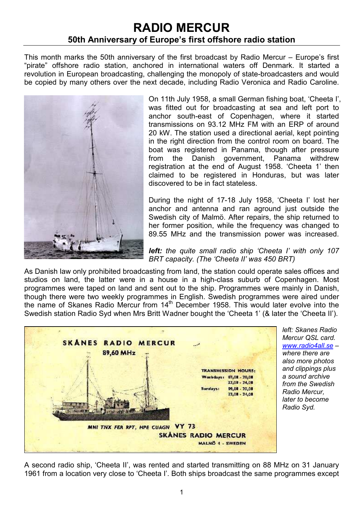## RADIO MERCUR 50th Anniversary of Europe's first offshore radio station

This month marks the 50th anniversary of the first broadcast by Radio Mercur – Europe's first "pirate" offshore radio station, anchored in international waters off Denmark. It started a revolution in European broadcasting, challenging the monopoly of state-broadcasters and would be copied by many others over the next decade, including Radio Veronica and Radio Caroline.



On 11th July 1958, a small German fishing boat, 'Cheeta I', was fitted out for broadcasting at sea and left port to anchor south-east of Copenhagen, where it started transmissions on 93.12 MHz FM with an ERP of around 20 kW. The station used a directional aerial, kept pointing in the right direction from the control room on board. The boat was registered in Panama, though after pressure from the Danish government, Panama withdrew registration at the end of August 1958. 'Cheeta 1' then claimed to be registered in Honduras, but was later discovered to be in fact stateless.

During the night of 17-18 July 1958, 'Cheeta I' lost her anchor and antenna and ran aground just outside the Swedish city of Malmö. After repairs, the ship returned to her former position, while the frequency was changed to 89.55 MHz and the transmission power was increased.

left: the quite small radio ship 'Cheeta I' with only 107 BRT capacity. (The 'Cheeta II' was 450 BRT)

As Danish law only prohibited broadcasting from land, the station could operate sales offices and studios on land, the latter were in a house in a high-class suburb of Copenhagen. Most programmes were taped on land and sent out to the ship. Programmes were mainly in Danish, though there were two weekly programmes in English. Swedish programmes were aired under the name of Skanes Radio Mercur from 14<sup>th</sup> December 1958. This would later evolve into the Swedish station Radio Syd when Mrs Britt Wadner bought the 'Cheeta 1' (& later the 'Cheeta II').



left: Skanes Radio Mercur QSL card. www.radio4all.se – where there are also more photos and clippings plus a sound archive from the Swedish Radio Mercur, later to become Radio Syd.

A second radio ship, 'Cheeta II', was rented and started transmitting on 88 MHz on 31 January 1961 from a location very close to 'Cheeta I'. Both ships broadcast the same programmes except